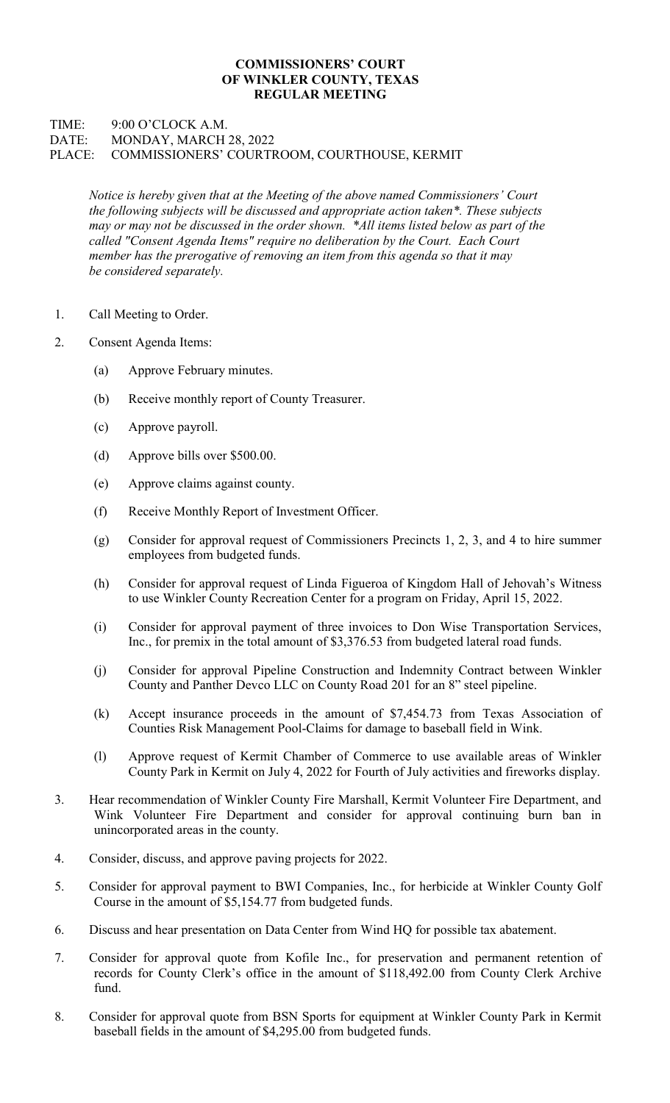## COMMISSIONERS' COURT OF WINKLER COUNTY, TEXAS REGULAR MEETING

## TIME: 9:00 O'CLOCK A.M. DATE: MONDAY, MARCH 28, 2022 PLACE: COMMISSIONERS' COURTROOM, COURTHOUSE, KERMIT

Notice is hereby given that at the Meeting of the above named Commissioners' Court the following subjects will be discussed and appropriate action taken\*. These subjects may or may not be discussed in the order shown. \*All items listed below as part of the called "Consent Agenda Items" require no deliberation by the Court. Each Court member has the prerogative of removing an item from this agenda so that it may be considered separately.

- 1. Call Meeting to Order.
- 2. Consent Agenda Items:
	- (a) Approve February minutes.
	- (b) Receive monthly report of County Treasurer.
	- (c) Approve payroll.
	- (d) Approve bills over \$500.00.
	- (e) Approve claims against county.
	- (f) Receive Monthly Report of Investment Officer.
	- (g) Consider for approval request of Commissioners Precincts 1, 2, 3, and 4 to hire summer employees from budgeted funds.
	- (h) Consider for approval request of Linda Figueroa of Kingdom Hall of Jehovah's Witness to use Winkler County Recreation Center for a program on Friday, April 15, 2022.
	- (i) Consider for approval payment of three invoices to Don Wise Transportation Services, Inc., for premix in the total amount of \$3,376.53 from budgeted lateral road funds.
	- (j) Consider for approval Pipeline Construction and Indemnity Contract between Winkler County and Panther Devco LLC on County Road 201 for an 8" steel pipeline.
	- (k) Accept insurance proceeds in the amount of \$7,454.73 from Texas Association of Counties Risk Management Pool-Claims for damage to baseball field in Wink.
	- (l) Approve request of Kermit Chamber of Commerce to use available areas of Winkler County Park in Kermit on July 4, 2022 for Fourth of July activities and fireworks display.
- 3. Hear recommendation of Winkler County Fire Marshall, Kermit Volunteer Fire Department, and Wink Volunteer Fire Department and consider for approval continuing burn ban in unincorporated areas in the county.
- 4. Consider, discuss, and approve paving projects for 2022.
- 5. Consider for approval payment to BWI Companies, Inc., for herbicide at Winkler County Golf Course in the amount of \$5,154.77 from budgeted funds.
- 6. Discuss and hear presentation on Data Center from Wind HQ for possible tax abatement.
- 7. Consider for approval quote from Kofile Inc., for preservation and permanent retention of records for County Clerk's office in the amount of \$118,492.00 from County Clerk Archive fund.
- 8. Consider for approval quote from BSN Sports for equipment at Winkler County Park in Kermit baseball fields in the amount of \$4,295.00 from budgeted funds.